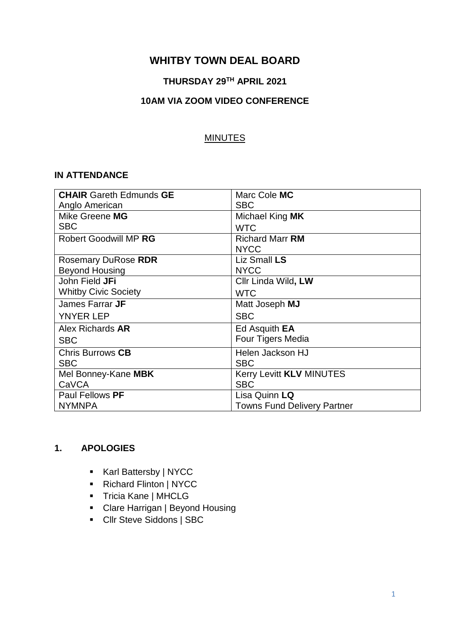# **WHITBY TOWN DEAL BOARD**

# **THURSDAY 29TH APRIL 2021**

### **10AM VIA ZOOM VIDEO CONFERENCE**

#### MINUTES

#### **IN ATTENDANCE**

| <b>CHAIR Gareth Edmunds GE</b> | Marc Cole MC                       |
|--------------------------------|------------------------------------|
| Anglo American                 | <b>SBC</b>                         |
| Mike Greene MG                 | Michael King MK                    |
| <b>SBC</b>                     | <b>WTC</b>                         |
| <b>Robert Goodwill MP RG</b>   | <b>Richard Marr RM</b>             |
|                                | <b>NYCC</b>                        |
| <b>Rosemary DuRose RDR</b>     | Liz Small LS                       |
| <b>Beyond Housing</b>          | <b>NYCC</b>                        |
| John Field JFi                 | Cllr Linda Wild, LW                |
| <b>Whitby Civic Society</b>    | <b>WTC</b>                         |
| James Farrar JF                | Matt Joseph MJ                     |
| <b>YNYER LEP</b>               | <b>SBC</b>                         |
| Alex Richards AR               | Ed Asquith <b>EA</b>               |
| <b>SBC</b>                     | Four Tigers Media                  |
| <b>Chris Burrows CB</b>        | <b>Helen Jackson HJ</b>            |
| <b>SBC</b>                     | <b>SBC</b>                         |
| Mel Bonney-Kane MBK            | Kerry Levitt KLV MINUTES           |
| CaVCA                          | <b>SBC</b>                         |
| Paul Fellows PF                | Lisa Quinn LQ                      |
| <b>NYMNPA</b>                  | <b>Towns Fund Delivery Partner</b> |

### **1. APOLOGIES**

- Karl Battersby | NYCC
- Richard Flinton | NYCC
- **Tricia Kane | MHCLG**
- Clare Harrigan | Beyond Housing
- Cllr Steve Siddons | SBC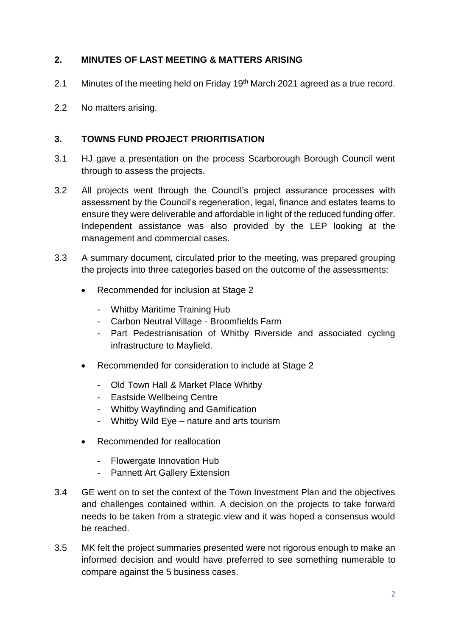# **2. MINUTES OF LAST MEETING & MATTERS ARISING**

- 2.1 Minutes of the meeting held on Friday 19<sup>th</sup> March 2021 agreed as a true record.
- 2.2 No matters arising.

## **3. TOWNS FUND PROJECT PRIORITISATION**

- 3.1 HJ gave a presentation on the process Scarborough Borough Council went through to assess the projects.
- 3.2 All projects went through the Council's project assurance processes with assessment by the Council's regeneration, legal, finance and estates teams to ensure they were deliverable and affordable in light of the reduced funding offer. Independent assistance was also provided by the LEP looking at the management and commercial cases.
- 3.3 A summary document, circulated prior to the meeting, was prepared grouping the projects into three categories based on the outcome of the assessments:
	- Recommended for inclusion at Stage 2
		- Whitby Maritime Training Hub
		- Carbon Neutral Village Broomfields Farm
		- Part Pedestrianisation of Whitby Riverside and associated cycling infrastructure to Mayfield.
	- Recommended for consideration to include at Stage 2
		- Old Town Hall & Market Place Whitby
		- Eastside Wellbeing Centre
		- Whitby Wayfinding and Gamification
		- Whitby Wild Eye nature and arts tourism
	- Recommended for reallocation
		- Flowergate Innovation Hub
		- Pannett Art Gallery Extension
- 3.4 GE went on to set the context of the Town Investment Plan and the objectives and challenges contained within. A decision on the projects to take forward needs to be taken from a strategic view and it was hoped a consensus would be reached.
- 3.5 MK felt the project summaries presented were not rigorous enough to make an informed decision and would have preferred to see something numerable to compare against the 5 business cases.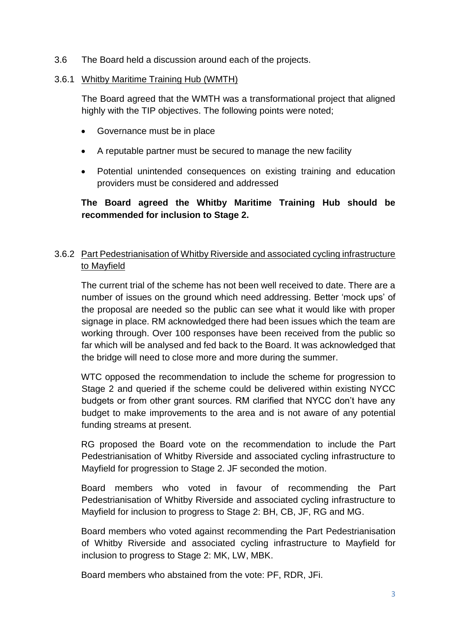3.6 The Board held a discussion around each of the projects.

### 3.6.1 Whitby Maritime Training Hub (WMTH)

The Board agreed that the WMTH was a transformational project that aligned highly with the TIP objectives. The following points were noted;

- Governance must be in place
- A reputable partner must be secured to manage the new facility
- Potential unintended consequences on existing training and education providers must be considered and addressed

**The Board agreed the Whitby Maritime Training Hub should be recommended for inclusion to Stage 2.** 

# 3.6.2 Part Pedestrianisation of Whitby Riverside and associated cycling infrastructure to Mayfield

The current trial of the scheme has not been well received to date. There are a number of issues on the ground which need addressing. Better 'mock ups' of the proposal are needed so the public can see what it would like with proper signage in place. RM acknowledged there had been issues which the team are working through. Over 100 responses have been received from the public so far which will be analysed and fed back to the Board. It was acknowledged that the bridge will need to close more and more during the summer.

WTC opposed the recommendation to include the scheme for progression to Stage 2 and queried if the scheme could be delivered within existing NYCC budgets or from other grant sources. RM clarified that NYCC don't have any budget to make improvements to the area and is not aware of any potential funding streams at present.

RG proposed the Board vote on the recommendation to include the Part Pedestrianisation of Whitby Riverside and associated cycling infrastructure to Mayfield for progression to Stage 2. JF seconded the motion.

Board members who voted in favour of recommending the Part Pedestrianisation of Whitby Riverside and associated cycling infrastructure to Mayfield for inclusion to progress to Stage 2: BH, CB, JF, RG and MG.

Board members who voted against recommending the Part Pedestrianisation of Whitby Riverside and associated cycling infrastructure to Mayfield for inclusion to progress to Stage 2: MK, LW, MBK.

Board members who abstained from the vote: PF, RDR, JFi.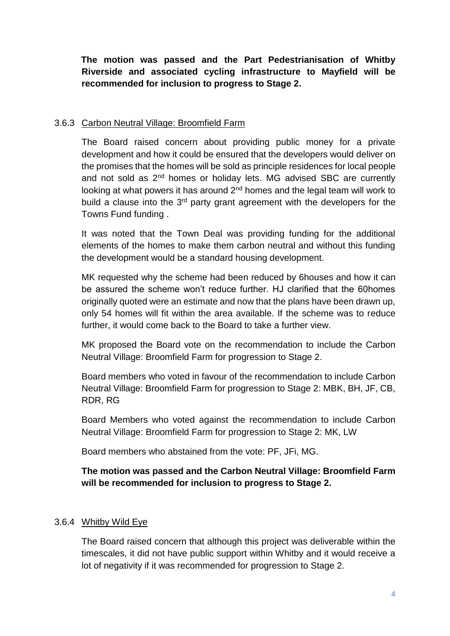**The motion was passed and the Part Pedestrianisation of Whitby Riverside and associated cycling infrastructure to Mayfield will be recommended for inclusion to progress to Stage 2.** 

### 3.6.3 Carbon Neutral Village: Broomfield Farm

The Board raised concern about providing public money for a private development and how it could be ensured that the developers would deliver on the promises that the homes will be sold as principle residences for local people and not sold as  $2<sup>nd</sup>$  homes or holiday lets. MG advised SBC are currently looking at what powers it has around  $2<sup>nd</sup>$  homes and the legal team will work to build a clause into the 3<sup>rd</sup> party grant agreement with the developers for the Towns Fund funding .

It was noted that the Town Deal was providing funding for the additional elements of the homes to make them carbon neutral and without this funding the development would be a standard housing development.

MK requested why the scheme had been reduced by 6houses and how it can be assured the scheme won't reduce further. HJ clarified that the 60homes originally quoted were an estimate and now that the plans have been drawn up, only 54 homes will fit within the area available. If the scheme was to reduce further, it would come back to the Board to take a further view.

MK proposed the Board vote on the recommendation to include the Carbon Neutral Village: Broomfield Farm for progression to Stage 2.

Board members who voted in favour of the recommendation to include Carbon Neutral Village: Broomfield Farm for progression to Stage 2: MBK, BH, JF, CB, RDR, RG

Board Members who voted against the recommendation to include Carbon Neutral Village: Broomfield Farm for progression to Stage 2: MK, LW

Board members who abstained from the vote: PF, JFi, MG.

## **The motion was passed and the Carbon Neutral Village: Broomfield Farm will be recommended for inclusion to progress to Stage 2.**

### 3.6.4 Whitby Wild Eye

The Board raised concern that although this project was deliverable within the timescales, it did not have public support within Whitby and it would receive a lot of negativity if it was recommended for progression to Stage 2.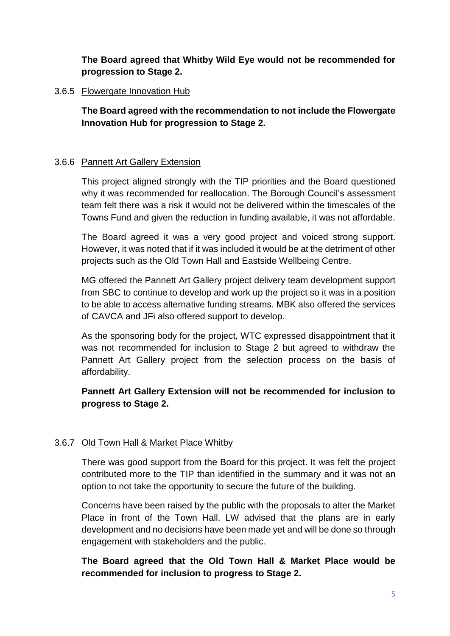**The Board agreed that Whitby Wild Eye would not be recommended for progression to Stage 2.** 

### 3.6.5 Flowergate Innovation Hub

**The Board agreed with the recommendation to not include the Flowergate Innovation Hub for progression to Stage 2.**

## 3.6.6 Pannett Art Gallery Extension

This project aligned strongly with the TIP priorities and the Board questioned why it was recommended for reallocation. The Borough Council's assessment team felt there was a risk it would not be delivered within the timescales of the Towns Fund and given the reduction in funding available, it was not affordable.

The Board agreed it was a very good project and voiced strong support. However, it was noted that if it was included it would be at the detriment of other projects such as the Old Town Hall and Eastside Wellbeing Centre.

MG offered the Pannett Art Gallery project delivery team development support from SBC to continue to develop and work up the project so it was in a position to be able to access alternative funding streams. MBK also offered the services of CAVCA and JFi also offered support to develop.

As the sponsoring body for the project, WTC expressed disappointment that it was not recommended for inclusion to Stage 2 but agreed to withdraw the Pannett Art Gallery project from the selection process on the basis of affordability.

# **Pannett Art Gallery Extension will not be recommended for inclusion to progress to Stage 2.**

# 3.6.7 Old Town Hall & Market Place Whitby

There was good support from the Board for this project. It was felt the project contributed more to the TIP than identified in the summary and it was not an option to not take the opportunity to secure the future of the building.

Concerns have been raised by the public with the proposals to alter the Market Place in front of the Town Hall. LW advised that the plans are in early development and no decisions have been made yet and will be done so through engagement with stakeholders and the public.

# **The Board agreed that the Old Town Hall & Market Place would be recommended for inclusion to progress to Stage 2.**